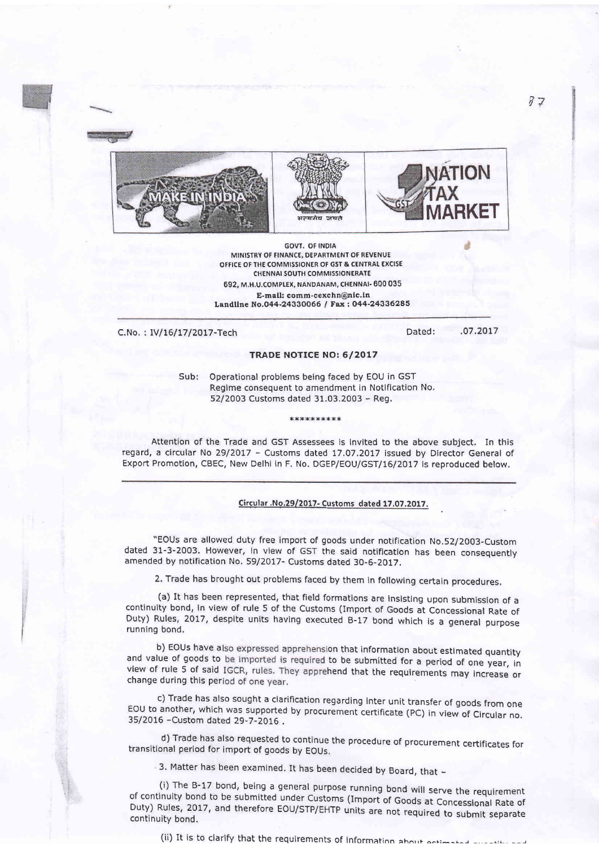





**GOVT. OF INDIA** MINISTRY OF FINANCE, DEPARTMENT OF REVENUE OFFICE OF THE COMMISSIONER OF GST & CENTRAL EXCISE **CHENNAI SOUTH COMMISSIONERATE** 692, M.H.U.COMPLEX, NANDANAM, CHENNAI- 600 035 E-mail: comm-cexchn@nic.in Landline No.044-24330066 / Fax: 044-24336285

C.No.: IV/16/17/2017-Tech

Dated: .07.2017

## **TRADE NOTICE NO: 6/2017**

Sub: Operational problems being faced by EOU in GST Regime consequent to amendment in Notification No. 52/2003 Customs dated 31.03.2003 - Reg.

\*\*\*\*\*\*\*\*\*\*

Attention of the Trade and GST Assessees is invited to the above subject. In this regard, a circular No 29/2017 - Customs dated 17.07.2017 issued by Director General of Export Promotion, CBEC, New Delhi in F. No. DGEP/EOU/GST/16/2017 is reproduced below.

## Circular .No.29/2017- Customs dated 17.07.2017.

"EOUs are allowed duty free import of goods under notification No.52/2003-Custom dated 31-3-2003. However, in view of GST the said notification has been consequently amended by notification No. 59/2017- Customs dated 30-6-2017.

2. Trade has brought out problems faced by them in following certain procedures.

(a) It has been represented, that field formations are insisting upon submission of a continuity bond, in view of rule 5 of the Customs (Import of Goods at Concessional Rate of Duty) Rules, 2017, despite units having executed B-17 bond which is a general purpose running bond.

b) EOUs have also expressed apprehension that information about estimated quantity and value of goods to be imported is required to be submitted for a period of one year, in view of rule 5 of said IGCR, rules. They apprehend that the requirements may increase or change during this period of one year.

c) Trade has also sought a clarification regarding inter unit transfer of goods from one EOU to another, which was supported by procurement certificate (PC) in view of Circular no. 35/2016 - Custom dated 29-7-2016.

d) Trade has also requested to continue the procedure of procurement certificates for transitional period for import of goods by EOUs.

3. Matter has been examined. It has been decided by Board, that -

(i) The B-17 bond, being a general purpose running bond will serve the requirement of continuity bond to be submitted under Customs (Import of Goods at Concessional Rate of Duty) Rules, 2017, and therefore EOU/STP/EHTP units are not required to submit separate continuity bond.

(ii) It is to clarify that the requirements of information about ectimated